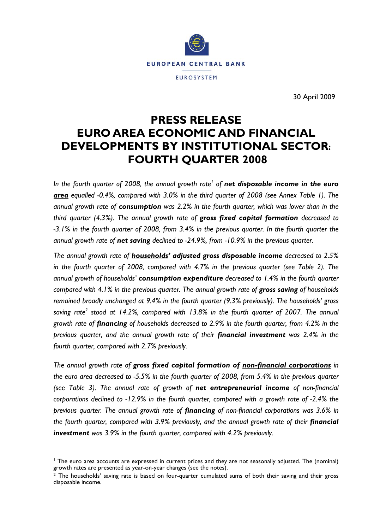

30 April 2009

# **PRESS RELEASE EURO AREA ECONOMIC AND FINANCIAL DEVELOPMENTS BY INSTITUTIONAL SECTOR: FOURTH QUARTER 2008**

In the fourth quarter of 2008, the annual growth rate<sup>1</sup> of net disposable income in the *euro area equalled -0.4%, compared with 3.0% in the third quarter of 2008 (see Annex Table 1). The annual growth rate of consumption was 2.2% in the fourth quarter, which was lower than in the third quarter (4.3%). The annual growth rate of gross fixed capital formation decreased to -3.1% in the fourth quarter of 2008, from 3.4% in the previous quarter. In the fourth quarter the annual growth rate of net saving declined to -24.9%, from -10.9% in the previous quarter.* 

*The annual growth rate of households' adjusted gross disposable income decreased to 2.5% in the fourth quarter of 2008, compared with 4.7% in the previous quarter (see Table 2). The annual growth of households' consumption expenditure decreased to 1.4% in the fourth quarter compared with 4.1% in the previous quarter. The annual growth rate of gross saving of households remained broadly unchanged at 9.4% in the fourth quarter (9.3% previously). The households' gross*  saving rate<sup>2</sup> stood at 14.2%, compared with 13.8% in the fourth quarter of 2007. The annual *growth rate of financing of households decreased to 2.9% in the fourth quarter, from 4.2% in the previous quarter, and the annual growth rate of their financial investment was 2.4% in the fourth quarter, compared with 2.7% previously.* 

*The annual growth rate of gross fixed capital formation of non-financial corporations in the euro area decreased to -5.5% in the fourth quarter of 2008, from 5.4% in the previous quarter (see Table 3). The annual rate of growth of net entrepreneurial income of non-financial corporations declined to -12.9% in the fourth quarter, compared with a growth rate of -2.4% the previous quarter. The annual growth rate of financing of non-financial corporations was 3.6% in the fourth quarter, compared with 3.9% previously, and the annual growth rate of their <i>financial investment was 3.9% in the fourth quarter, compared with 4.2% previously.* 

l

<sup>&</sup>lt;sup>1</sup> The euro area accounts are expressed in current prices and they are not seasonally adjusted. The (nominal) growth rates are presented as year-on-year changes (see the notes).

 $2$  The households' saving rate is based on four-quarter cumulated sums of both their saving and their gross disposable income.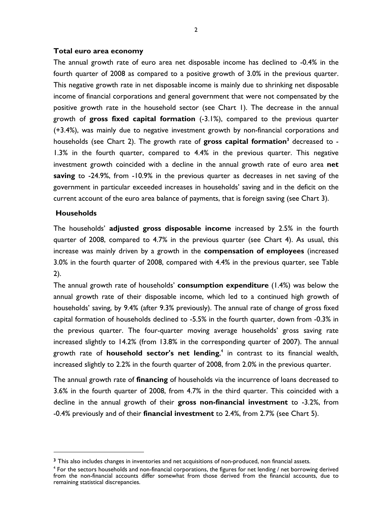#### **Total euro area economy**

The annual growth rate of euro area net disposable income has declined to -0.4% in the fourth quarter of 2008 as compared to a positive growth of 3.0% in the previous quarter. This negative growth rate in net disposable income is mainly due to shrinking net disposable income of financial corporations and general government that were not compensated by the positive growth rate in the household sector (see Chart 1). The decrease in the annual growth of **gross fixed capital formation** (-3.1%), compared to the previous quarter (+3.4%), was mainly due to negative investment growth by non-financial corporations and households (see Chart 2). The growth rate of **gross capital formation**<sup>3</sup> decreased to -1.3% in the fourth quarter, compared to 4.4% in the previous quarter. This negative investment growth coincided with a decline in the annual growth rate of euro area **net saving** to -24.9%, from -10.9% in the previous quarter as decreases in net saving of the government in particular exceeded increases in households' saving and in the deficit on the current account of the euro area balance of payments, that is foreign saving (see Chart 3).

### **Households**

l

The households' **adjusted gross disposable income** increased by 2.5% in the fourth quarter of 2008, compared to 4.7% in the previous quarter (see Chart 4). As usual, this increase was mainly driven by a growth in the **compensation of employees** (increased 3.0% in the fourth quarter of 2008, compared with 4.4% in the previous quarter, see Table 2).

The annual growth rate of households' **consumption expenditure** (1.4%) was below the annual growth rate of their disposable income, which led to a continued high growth of households' saving, by 9.4% (after 9.3% previously). The annual rate of change of gross fixed capital formation of households declined to -5.5% in the fourth quarter, down from -0.3% in the previous quarter. The four-quarter moving average households' gross saving rate increased slightly to 14.2% (from 13.8% in the corresponding quarter of 2007). The annual growth rate of **household sector's net lending**, 4 in contrast to its financial wealth, increased slightly to 2.2% in the fourth quarter of 2008, from 2.0% in the previous quarter.

The annual growth rate of **financing** of households via the incurrence of loans decreased to 3.6% in the fourth quarter of 2008, from 4.7% in the third quarter. This coincided with a decline in the annual growth of their **gross non-financial investment** to -3.2%, from -0.4% previously and of their **financial investment** to 2.4%, from 2.7% (see Chart 5).

**<sup>3</sup>** This also includes changes in inventories and net acquisitions of non-produced, non financial assets.

<sup>&</sup>lt;sup>4</sup> For the sectors households and non-financial corporations, the figures for net lending / net borrowing derived from the non-financial accounts differ somewhat from those derived from the financial accounts, due to remaining statistical discrepancies.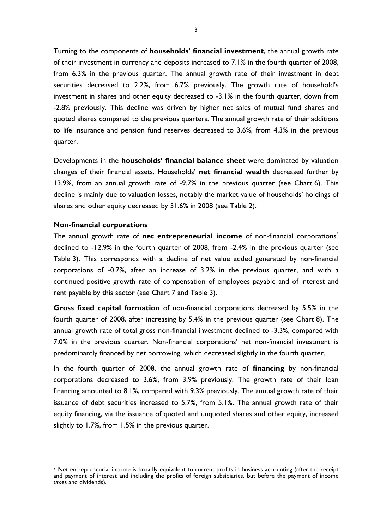Turning to the components of **households' financial investment**, the annual growth rate of their investment in currency and deposits increased to 7.1% in the fourth quarter of 2008, from 6.3% in the previous quarter. The annual growth rate of their investment in debt securities decreased to 2.2%, from 6.7% previously. The growth rate of household's investment in shares and other equity decreased to -3.1% in the fourth quarter, down from -2.8% previously. This decline was driven by higher net sales of mutual fund shares and quoted shares compared to the previous quarters. The annual growth rate of their additions to life insurance and pension fund reserves decreased to 3.6%, from 4.3% in the previous quarter.

Developments in the **households' financial balance sheet** were dominated by valuation changes of their financial assets. Households' **net financial wealth** decreased further by 13.9%, from an annual growth rate of -9.7% in the previous quarter (see Chart 6). This decline is mainly due to valuation losses, notably the market value of households' holdings of shares and other equity decreased by 31.6% in 2008 (see Table 2).

### **Non-financial corporations**

l

The annual growth rate of **net entrepreneurial income** of non-financial corporations<sup>5</sup> declined to -12.9% in the fourth quarter of 2008, from -2.4% in the previous quarter (see Table 3). This corresponds with a decline of net value added generated by non-financial corporations of -0.7%, after an increase of 3.2% in the previous quarter, and with a continued positive growth rate of compensation of employees payable and of interest and rent payable by this sector (see Chart 7 and Table 3).

**Gross fixed capital formation** of non-financial corporations decreased by 5.5% in the fourth quarter of 2008, after increasing by 5.4% in the previous quarter (see Chart 8). The annual growth rate of total gross non-financial investment declined to -3.3%, compared with 7.0% in the previous quarter. Non-financial corporations' net non-financial investment is predominantly financed by net borrowing, which decreased slightly in the fourth quarter.

In the fourth quarter of 2008, the annual growth rate of **financing** by non-financial corporations decreased to 3.6%, from 3.9% previously. The growth rate of their loan financing amounted to 8.1%, compared with 9.3% previously. The annual growth rate of their issuance of debt securities increased to 5.7%, from 5.1%. The annual growth rate of their equity financing, via the issuance of quoted and unquoted shares and other equity, increased slightly to 1.7%, from 1.5% in the previous quarter.

<sup>&</sup>lt;sup>5</sup> Net entrepreneurial income is broadly equivalent to current profits in business accounting (after the receipt and payment of interest and including the profits of foreign subsidiaries, but before the payment of income taxes and dividends).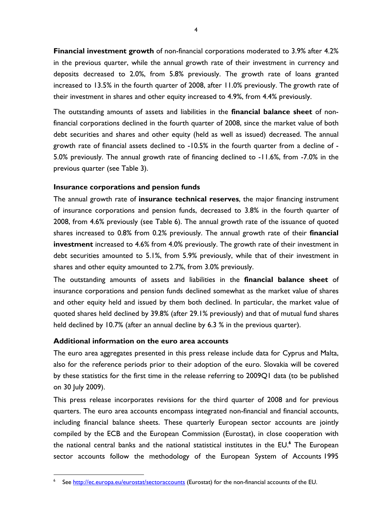**Financial investment growth** of non-financial corporations moderated to 3.9% after 4.2% in the previous quarter, while the annual growth rate of their investment in currency and deposits decreased to 2.0%, from 5.8% previously. The growth rate of loans granted increased to 13.5% in the fourth quarter of 2008, after 11.0% previously. The growth rate of their investment in shares and other equity increased to 4.9%, from 4.4% previously.

The outstanding amounts of assets and liabilities in the **financial balance sheet** of nonfinancial corporations declined in the fourth quarter of 2008, since the market value of both debt securities and shares and other equity (held as well as issued) decreased. The annual growth rate of financial assets declined to -10.5% in the fourth quarter from a decline of - 5.0% previously. The annual growth rate of financing declined to -11.6%, from -7.0% in the previous quarter (see Table 3).

## **Insurance corporations and pension funds**

The annual growth rate of **insurance technical reserves**, the major financing instrument of insurance corporations and pension funds, decreased to 3.8% in the fourth quarter of 2008, from 4.6% previously (see Table 6). The annual growth rate of the issuance of quoted shares increased to 0.8% from 0.2% previously. The annual growth rate of their **financial investment** increased to 4.6% from 4.0% previously. The growth rate of their investment in debt securities amounted to 5.1%, from 5.9% previously, while that of their investment in shares and other equity amounted to 2.7%, from 3.0% previously.

The outstanding amounts of assets and liabilities in the **financial balance sheet** of insurance corporations and pension funds declined somewhat as the market value of shares and other equity held and issued by them both declined. In particular, the market value of quoted shares held declined by 39.8% (after 29.1% previously) and that of mutual fund shares held declined by 10.7% (after an annual decline by 6.3 % in the previous quarter).

## **Additional information on the euro area accounts**

l

The euro area aggregates presented in this press release include data for Cyprus and Malta, also for the reference periods prior to their adoption of the euro. Slovakia will be covered by these statistics for the first time in the release referring to 2009Q1 data (to be published on 30 July 2009).

This press release incorporates revisions for the third quarter of 2008 and for previous quarters. The euro area accounts encompass integrated non-financial and financial accounts, including financial balance sheets. These quarterly European sector accounts are jointly compiled by the ECB and the European Commission (Eurostat), in close cooperation with the national central banks and the national statistical institutes in the EU.**<sup>6</sup>** The European sector accounts follow the methodology of the European System of Accounts 1995

<sup>6</sup> See http://ec.europa.eu/eurostat/sectoraccounts (Eurostat) for the non-financial accounts of the EU.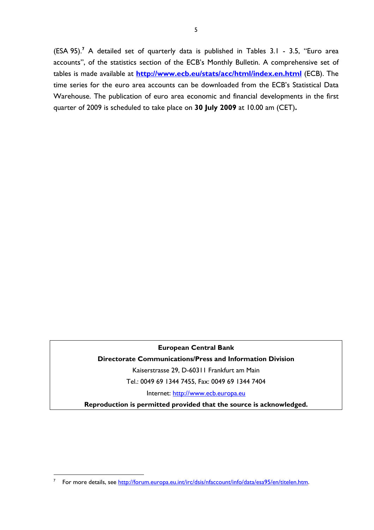(ESA 95).**<sup>7</sup>** A detailed set of quarterly data is published in Tables 3.1 - 3.5, "Euro area accounts", of the statistics section of the ECB's Monthly Bulletin. A comprehensive set of tables is made available at **http://www.ecb.eu/stats/acc/html/index.en.html** (ECB). The time series for the euro area accounts can be downloaded from the ECB's Statistical Data Warehouse. The publication of euro area economic and financial developments in the first quarter of 2009 is scheduled to take place on **30 July 2009** at 10.00 am (CET)**.** 

## **European Central Bank**

# **Directorate Communications/Press and Information Division**

Kaiserstrasse 29, D-60311 Frankfurt am Main

Tel.: 0049 69 1344 7455, Fax: 0049 69 1344 7404

Internet: http://www.ecb.europa.eu

**Reproduction is permitted provided that the source is acknowledged.** 

l

<sup>7</sup> For more details, see http://forum.europa.eu.int/irc/dsis/nfaccount/info/data/esa95/en/titelen.htm.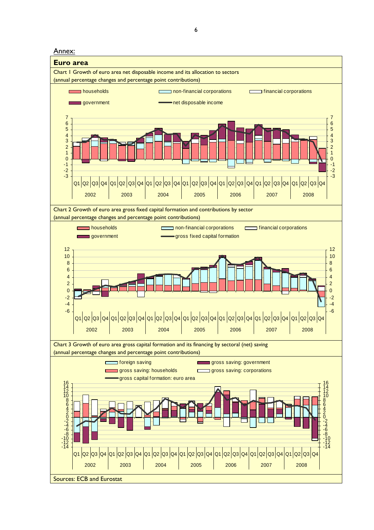Annex:

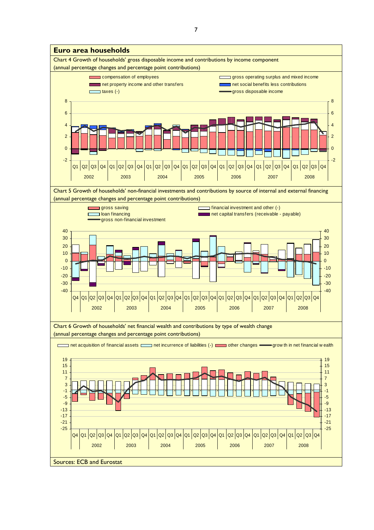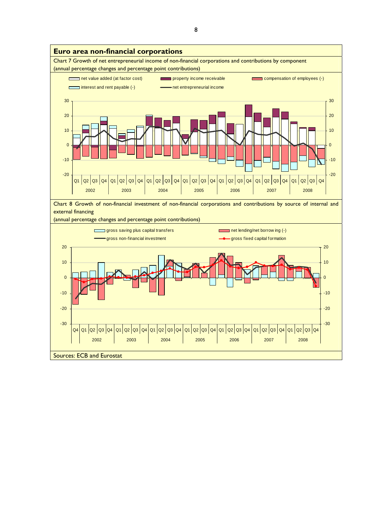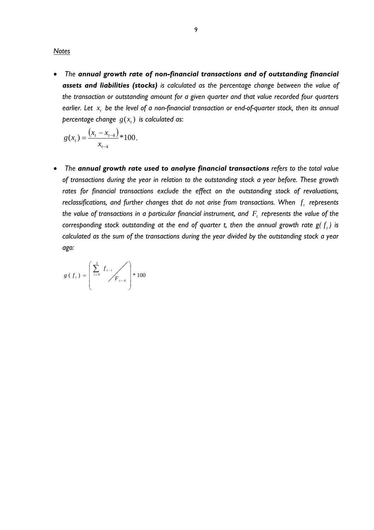*Notes*

• *The annual growth rate of non-financial transactions and of outstanding financial assets and liabilities (stocks) is calculated as the percentage change between the value of the transaction or outstanding amount for a given quarter and that value recorded four quarters earlier. Let <sup>t</sup> x be the level of a non-financial transaction or end-of-quarter stock, then its annual percentage change*  $g(x_t)$  *is calculated as:* 

$$
g(x_t) = \frac{\left(x_t - x_{t-4}\right)}{x_{t-4}} \cdot 100.
$$

• *The annual growth rate used to analyse financial transactions refers to the total value of transactions during the year in relation to the outstanding stock a year before. These growth*  rates for financial transactions exclude the effect on the outstanding stock of revaluations, *reclassifications, and further changes that do not arise from transactions. When*  $f_t$  *represents the value of transactions in a particular financial instrument, and*  $F_t$  *represents the value of the corresponding stock outstanding at the end of quarter t, then the annual growth rate*  $g(f_t)$  *is calculated as the sum of the transactions during the year divided by the outstanding stock a year ago:* 

$$
g(f_t) = \left(\sum_{i=0}^{3} f_{t-i} f_{t-4}\right) * 100
$$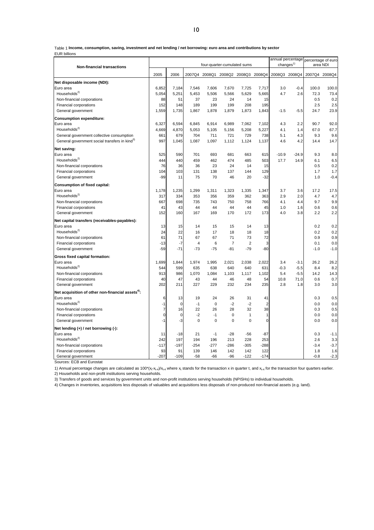Table 1 **Income, consumption, saving, investment and net lending / net borrowing: euro area and contributions by sector** EUR billions

| Non-financial transactions                                    | changes $1$<br>four-quarter-cumulated sums |                |                |           |                                    |                |                |         | annual percentage percentage of euro<br>area NDI |               |        |  |
|---------------------------------------------------------------|--------------------------------------------|----------------|----------------|-----------|------------------------------------|----------------|----------------|---------|--------------------------------------------------|---------------|--------|--|
|                                                               | 2005                                       | 2006           |                |           | 2007Q4 2008Q1 2008Q2 2008Q3 2008Q4 |                |                |         | 2008Q3 2008Q4                                    | 2007Q4 2008Q4 |        |  |
| Net disposable income (NDI):                                  |                                            |                |                |           |                                    |                |                |         |                                                  |               |        |  |
| Euro area                                                     | 6,852                                      | 7,184          | 7,546          | 7,606     | 7,670                              | 7,725          | 7,717          | 3.0     | $-0.4$                                           | 100.0         | 100.0  |  |
| Households <sup>2)</sup>                                      | 5,054                                      | 5,251          | 5,453          | 5,506     | 5,566                              | 5,629          | 5,665          | 4.7     | 2.6                                              | 72.3          | 73.4   |  |
| Non-financial corporations                                    | 88                                         | 51             | 37             | 23        | 24                                 | 14             | 15             |         |                                                  | 0.5           | 0.2    |  |
| Financial corporations                                        | 152                                        | 148            | 189            | 199       | 199                                | 208            | 195            |         |                                                  | 2.5           | 2.5    |  |
| General government                                            | 1,559                                      | 1,735          | 1,867          | 1,878     | 1,879                              | 1,873          | 1,843          | $-1.5$  | $-5.5$                                           | 24.7          | 23.9   |  |
| <b>Consumption expenditure:</b>                               |                                            |                |                |           |                                    |                |                |         |                                                  |               |        |  |
| Euro area                                                     | 6,327                                      | 6,594          | 6,845          | 6,914     | 6,989                              | 7,062          | 7,102          | 4.3     | 2.2                                              | 90.7          | 92.0   |  |
| Households <sup>2)</sup>                                      | 4,669                                      | 4,870          | 5,053          | 5,105     | 5,156                              | 5,208          | 5,227          | 4.1     | 1.4                                              | 67.0          | 67.7   |  |
| General government collective consumption                     | 661                                        | 679            | 704            | 711       | 721                                | 729            | 738            | 5.1     | 4.3                                              | 9.3           | 9.6    |  |
| General government social transfers in kind <sup>3)</sup>     | 997                                        | 1,045          | 1,087          | 1,097     | 1,112                              | 1,124          | 1,137          | 4.6     | 4.2                                              | 14.4          | 14.7   |  |
| Net saving:                                                   |                                            |                |                |           |                                    |                |                |         |                                                  |               |        |  |
| Euro area                                                     | 525                                        | 590            | 701            | 693       | 681                                | 663            | 615            | $-10.9$ | $-24.9$                                          | 9.3           | 8.0    |  |
| Households <sup>2)</sup>                                      | 444                                        | 440            | 459            | 462       | 474                                | 485            | 503            | 17.7    | 14.9                                             | 6.1           | 6.5    |  |
| Non-financial corporations                                    | 76                                         | 36             | 36             | 23        | 24                                 | 14             | 15             |         |                                                  | 0.5           | 0.2    |  |
| Financial corporations                                        | 104                                        | 103            | 131            | 138       | 137                                | 144            | 129            |         |                                                  | 1.7           | 1.7    |  |
| General government                                            | -99                                        | 11             | 75             | 70        | 46                                 | 20             | $-32$          |         |                                                  | 1.0           | $-0.4$ |  |
| <b>Consumption of fixed capital:</b>                          |                                            |                |                |           |                                    |                |                |         |                                                  |               |        |  |
| Euro area                                                     | 1,178                                      | 1,235          | 1,299          | 1,311     | 1,323                              | 1,335          | 1,347          | 3.7     | 3.6                                              | 17.2          | 17.5   |  |
| Households <sup>2)</sup>                                      | 317                                        | 334            | 353            | 356       | 359                                | 362            | 363            | 2.9     | 2.0                                              | 4.7           | 4.7    |  |
| Non-financial corporations                                    | 667                                        | 698            | 735            | 743       | 750                                | 758            | 766            | 4.1     | 4.4                                              | 9.7           | 9.9    |  |
| Financial corporations                                        | 41                                         | 43             | 44             | 44        | 44                                 | 44             | 45             | 1.0     | 1.6                                              | 0.6           | 0.6    |  |
| General government                                            | 152                                        | 160            | 167            | 169       | 170                                | 172            | 173            | 4.0     | 3.8                                              | 2.2           | 2.2    |  |
| Net capital transfers (receivables-payables):                 |                                            |                |                |           |                                    |                |                |         |                                                  |               |        |  |
| Euro area                                                     | 13                                         | 15             | 14             | 15        | 15                                 | 14             | 13             |         |                                                  | 0.2           | 0.2    |  |
| Households <sup>2)</sup>                                      | 24                                         | 22             | 16             | 17        | 18                                 | 18             | 18             |         |                                                  | 0.2           | 0.2    |  |
| Non-financial corporations                                    | 61                                         | 71             | 67             | 67        | 71                                 | 73             | 72             |         |                                                  | 0.9           | 0.9    |  |
| Financial corporations                                        | $-13$                                      | $-7$           | $\overline{4}$ | 6         | $\overline{7}$                     | $\overline{2}$ | 3              |         |                                                  | 0.1           | 0.0    |  |
| General government                                            | $-59$                                      | $-71$          | $-73$          | $-75$     | $-81$                              | $-79$          | $-80$          |         |                                                  | $-1.0$        | $-1.0$ |  |
| Gross fixed capital formation:                                |                                            |                |                |           |                                    |                |                |         |                                                  |               |        |  |
| Euro area                                                     | 1,699                                      | 1,844          | 1,974          | 1,995     | 2,021                              | 2,038          | 2,022          | 3.4     | $-3.1$                                           | 26.2          | 26.2   |  |
| Households <sup>2)</sup>                                      | 544                                        | 599            | 635            | 638       | 640                                | 640            | 631            | $-0.3$  | $-5.5$                                           | 8.4           | 8.2    |  |
| Non-financial corporations                                    | 913                                        | 986            | 1,070          | 1,084     | 1,103                              | 1,117          | 1,102          | 5.4     | $-5.5$                                           | 14.2          | 14.3   |  |
| Financial corporations                                        | 40                                         | 47             | 43             | 44        | 46                                 | 48             | 54             | 10.8    | 71.0                                             | 0.6           | 0.7    |  |
| General government                                            | 202                                        | 211            | 227            | 229       | 232                                | 234            | 235            | 2.8     | 1.8                                              | 3.0           | 3.0    |  |
| Net acquisition of other non-financial assets <sup>4)</sup> : |                                            |                |                |           |                                    |                |                |         |                                                  |               |        |  |
| Euro area                                                     | 6                                          | 13             | 19             | 24        | 26                                 | 31             | 41             |         |                                                  | 0.3           | 0.5    |  |
| Households <sup>2)</sup>                                      | $-1$                                       | $\mathbf 0$    | $-1$           | $\pmb{0}$ | $-2$                               | $-2$           | $\overline{2}$ |         |                                                  | 0.0           | 0.0    |  |
| Non-financial corporations                                    | $\overline{7}$                             | 16             | 22             | 26        | 28                                 | 32             | 38             |         |                                                  | 0.3           | 0.5    |  |
| Financial corporations                                        | $\mathbf 0$                                | $\overline{0}$ | $-2$           | $-1$      | $\mathbf 0$                        | $\mathbf{1}$   | $\mathbf{1}$   |         |                                                  | 0.0           | 0.0    |  |
| General government                                            | $-1$                                       | $-3$           | 0              | 0         | $\mathbf 0$                        | $\mathbf 0$    | $\mathbf 0$    |         |                                                  | 0.0           | 0.0    |  |
| Net lending (+) / net borrowing (-):                          |                                            |                |                |           |                                    |                |                |         |                                                  |               |        |  |
| Euro area                                                     | 11                                         | $-18$          | 21             | $-1$      | $-28$                              | $-56$          | $-87$          |         |                                                  | 0.3           | $-1.1$ |  |
| Households <sup>2)</sup>                                      | 242                                        | 197            | 194            | 196       | 213                                | 228            | 253            |         |                                                  | 2.6           | 3.3    |  |
| Non-financial corporations                                    | $-117$                                     | $-197$         | $-254$         | $-277$    | $-286$                             | $-305$         | $-288$         |         |                                                  | $-3.4$        | $-3.7$ |  |
| Financial corporations                                        | 93                                         | 91             | 139            | 146       | 142                                | 142            | 122            |         |                                                  | 1.8           | 1.6    |  |
| General government                                            | $-207$                                     | $-109$         | $-58$          | $-66$     | $-96$                              | $-122$         | $-174$         |         |                                                  | $-0.8$        | $-2.3$ |  |

Sources: ECB and Eurostat

1) Annual percentage changes are calculated as 100\*( $x_t-x_{t-4}$ )/ $x_{t-4}$  where  $x_t$  stands for the transaction x in quarter t, and  $x_{t-4}$  for the transaction four quarters earlier.

2) Households and non-profit institutions serving households.

3) Transfers of goods and services by government units and non-profit institutions serving households (NPISHs) to individual households.

4) Changes in inventories, acquisitions less disposals of valuables and acquisitions less disposals of non-produced non-financial assets (e.g. land).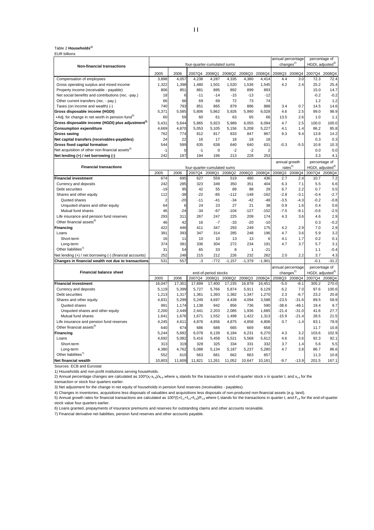#### Table 2 **Households1)**

| <b>EUR billions</b> |  |
|---------------------|--|
|---------------------|--|

|                                                              |                |             |             |                                |                 |                 |                |         | annual percentage                          | percentage of                                 |                |  |
|--------------------------------------------------------------|----------------|-------------|-------------|--------------------------------|-----------------|-----------------|----------------|---------|--------------------------------------------|-----------------------------------------------|----------------|--|
| <b>Non-financial transactions</b>                            |                |             |             | four-quarter-cumulated sums    |                 |                 |                |         | changes <sup>2)</sup>                      | HGDI, adjusted <sup>3)</sup>                  |                |  |
|                                                              | 2005           | 2006        |             | 2007Q4 2008Q1                  | 2008Q2          | 2008Q3          | 2008Q4         |         | 2008Q3 2008Q4                              | 2007Q4 2008Q4                                 |                |  |
| Compensation of employees                                    | 3,898          | 4.057       | 4.238       | 4,287                          | 4,335           | 4,380           | 4.414          | 4.4     | 3.0                                        | 72.3                                          | 72.4           |  |
| Gross operating surplus and mixed income                     | 1,322          | 1,398       | 1,480       | 1,501                          | 1,520           | 1,536           | 1,545          | 4.2     | 2.4                                        | 25.2                                          | 25.4           |  |
| Property income (receivable - payable)                       | 806            | 851         | 881         | 885                            | 892             | 899             | 893            |         |                                            | 15.0                                          | 14.7           |  |
| Net social benefits and contributions (rec. -pay.)           | 18             | 6           | $-11$       | $-14$                          | $-15$           | $-13$           | $-12$          |         |                                            | $-0.2$                                        | $-0.2$         |  |
| Other current transfers (rec. - pay.)                        | 66             | 66          | 69          | 69                             | 72              | 73              | 74             |         |                                            | 1.2                                           | 1.2            |  |
| Taxes (on income and wealth) (-)                             | 740            | 793         | 851         | 865                            | 879             | 886             | 888            | 3.4     | 0.7                                        | 14.5                                          | 14.6           |  |
| Gross disposable income (HGDI)                               | 5,371          | 5,585       | 5,806       | 5,862                          | 5,926           | 5,990           | 6,028          | 4.6     | 2.5                                        | 99.0                                          | 98.9           |  |
| +Adj. for change in net worth in pension fund <sup>3)</sup>  | 60             | 59          | 60          | 61                             | 63              | 65              | 66             | 13.5    | 2.6                                        | 1.0                                           | 1.1            |  |
| Gross disposable income (HGDI) plus adjustment <sup>3)</sup> | 5,431          | 5,644       | 5,865       | 5,923                          | 5,989           | 6,055           | 6,094          | 4.7     | 2.5                                        | 100.0                                         | 100.0          |  |
| <b>Consumption expenditure</b>                               | 4,669          | 4,870       | 5,053       | 5,105                          | 5,156           | 5,208           | 5,227          | 4.1     | 1.4                                        | 86.2                                          | 85.8           |  |
| <b>Gross saving</b>                                          | 762            | 774         | 812         | 817                            | 833             | 847             | 867            | 9.3     | 9.4                                        | 13.8                                          | 14.2           |  |
| Net capital transfers (receivables-payables)                 | 24             | 22          | 16          | 17                             | 18              | 18              | 18             |         |                                            | 0.3                                           | 0.3            |  |
| <b>Gross fixed capital formation</b>                         | 544            | 599         | 635         | 638                            | 640             | 640             | 631            | $-0.3$  | $-5.5$                                     | 10.8                                          | 10.3           |  |
| Net acquisition of other non-financial assets <sup>4)</sup>  | $-1$           | $\mathbf 0$ | $-1$        | $\mathbf 0$                    | $-2$            | $-2$            | $\overline{2}$ |         |                                            | 0.0                                           | 0.0            |  |
| Net lending (+) / net borrowing (-)                          | 242            | 197         | 194         | 196                            | 213             | 228             | 253            |         |                                            | 3.3                                           | 4.1            |  |
|                                                              |                |             |             |                                |                 |                 |                |         | annual growth                              | percentage of                                 |                |  |
| <b>Financial transactions</b>                                |                |             |             | four-quarter-cumulated sums    |                 |                 |                |         | rates <sup>5)</sup>                        | HGDI, adjusted <sup>3)</sup>                  |                |  |
|                                                              | 2005           | 2006        |             | 2007Q4 2008Q1                  | 2008Q2          | 2008Q3          | 2008Q4         | 2008Q3  | 2008Q4                                     | 2007Q4 2008Q4                                 |                |  |
| <b>Financial investment</b>                                  | 674            | 695         | 627         | 559                            | 519             | 480             | 436            | 2.7     | 2.4                                        | 10.7                                          | 7.2            |  |
| Currency and deposits                                        | 242            | 285         | 323         | 349                            | 350             | 351             | 404            | 6.3     | 7.1                                        | 5.5                                           | 6.6            |  |
| Debt securities                                              | $-19$          | 95          | 42          | 55                             | 89              | 88              | 29             | 6.7     | 2.2                                        | 0.7                                           | 0.5            |  |
| Shares and other equity                                      | 112            | $-38$       | $-22$       | $-85$                          | $-112$          | $-148$          | $-162$         | $-2.8$  | $-3.1$                                     | $-0.4$                                        | $-2.7$         |  |
| Quoted shares                                                | $\overline{2}$ | $-20$       | $-11$       | $-41$                          | $-34$           | $-42$           | $-48$          | $-3.5$  | $-4.3$                                     | $-0.2$                                        | $-0.8$         |  |
| Unquoted shares and other equity                             | 64             | 6           | 24          | 23                             | 27              | 21              | 38             | 0.9     | 1.6                                        | 0.4                                           | 0.6            |  |
| Mutual fund shares                                           | 46             | $-24$       | $-34$       | $-67$                          | $-104$          | $-127$          | $-152$         | $-7.5$  | $-9.1$                                     | $-0.6$                                        | $-2.5$         |  |
| Life insurance and pension fund reserves                     | 293            | 311         | 267         | 247                            | 225             | 209             | 174            | 4.3     | 3.6                                        | 4.6                                           | 2.9            |  |
| Other financial assets <sup>6)</sup>                         | 46             | 42          | 16          | $-7$                           | $-33$           | $-20$           | $-10$          |         |                                            | 0.3                                           | $-0.2$         |  |
| Financing                                                    | 422            | 446         | 411         | 347                            | 293             | 249             | 175            | 4.2     | 2.9                                        | 7.0                                           | 2.9            |  |
| Loans                                                        | 391            | 393         | 347         | 314                            | 285             | 248             | 196            | 4.7     | 3.6                                        | 5.9                                           | 3.2            |  |
| Short-term                                                   | 16             | 11          | 10          | 10                             | 13              | 13              | 6              | 4.1     | 1.7                                        | 0.2                                           | 0.1            |  |
| Long-term                                                    | 374            | 381         | 336         | 304                            | 272             | 234             | 191            | 4.7     | 3.7                                        | 5.7                                           | 3.1            |  |
| Other liabilities <sup>7)</sup>                              | 31<br>252      | 54<br>248   | 65          | 33                             | 8               | $\mathbf{1}$    | $-21$<br>262   |         |                                            | 1.1                                           | $-0.4$         |  |
| Net lending (+) / net borrowing (-) (financial accounts)     | 531            | 557         | 215<br>$-3$ | 212<br>$-772$                  | 226<br>$-1,157$ | 232<br>$-1,379$ | $-1,901$       | 2.0     | 2.2                                        | 3.7<br>$-0.1$                                 | 4.3<br>$-31.2$ |  |
| Changes in financial wealth not due to transactions          |                |             |             |                                |                 |                 |                |         |                                            |                                               |                |  |
| <b>Financial balance sheet</b>                               |                |             |             |                                |                 |                 |                |         | annual percentage<br>changes <sup>2)</sup> | percentage of<br>HGDI, adjusted <sup>3)</sup> |                |  |
|                                                              | 2005           | 2006        | 2007Q4      | end-of-period stocks<br>2008Q1 | 2008Q2          | 2008Q3          | 2008Q4         | 2008Q3  | 2008Q4                                     | 2007Q4 2008Q4                                 |                |  |
| <b>Financial investment</b>                                  | 16.047         | 17,301      | 17,899      | 17,400                         | 17,235          | 16,878          | 16.451         | $-5.0$  | $-8.1$                                     | 305.2                                         | 270.0          |  |
| Currency and deposits                                        | 5,119          | 5,399       | 5,727       | 5,766                          | 5,874           | 5,911           | 6,129          | 6.2     | 7.0                                        | 97.6                                          | 100.6          |  |
| Debt securities                                              | 1,213          | 1,317       | 1,361       | 1,393                          | 1,382           | 1,347           | 1,270          | 2.3     | $-6.7$                                     | 23.2                                          | 20.8           |  |
| Shares and other equity                                      | 4,831          | 5,299       | 5,249       | 4,697                          | 4,439           | 4,094           | 3,588          | $-23.5$ | $-31.6$                                    | 89.5                                          | 58.9           |  |
| Quoted shares                                                | 991            | 1,174       | 1,138       | 942                            | 856             | 736             | 590            | $-38.6$ | $-48.1$                                    | 19.4                                          | 9.7            |  |
| Unquoted shares and other equity                             | 2,200          | 2,449       | 2,441       | 2,203                          | 2,085           | 1,936           | 1,685          | $-21.4$ | $-31.0$                                    | 41.6                                          | 27.7           |  |
| Mutual fund shares                                           | 1,641          | 1,676       | 1,671       | 1,552                          | 1,498           | 1,422           | 1,313          | $-15.9$ | $-21.4$                                    | 28.5                                          | 21.5           |  |
| Life insurance and pension fund reserves                     | 4,245          | 4,611       | 4,876       | 4,856                          | 4,875           | 4,858           | 4,806          | 0.7     | $-1.4$                                     | 83.1                                          | 78.9           |  |
| Other financial assets <sup>6)</sup>                         | 640            | 674         | 686         | 688                            | 665             | 669             | 658            |         |                                            | 11.7                                          | 10.8           |  |
| Financing                                                    | 5,244          | 5,692       | 6,078       | 6,139                          | 6,184           | 6,231           | 6,270          | 4.3     | 3.2                                        | 103.6                                         | 102.9          |  |
| Loans                                                        | 4,692          | 5,082       | 5,416       | 5,458                          | 5,521           | 5,568           | 5,612          | 4.6     | 3.6                                        | 92.3                                          | 92.1           |  |
| Short-term                                                   | 313            | 319         | 328         | 325                            | 334             | 331             | 332            | 3.7     | 1.4                                        | 5.6                                           | 5.5            |  |
| Long-term                                                    | 4,380          | 4,762       | 5,088       | 5,134                          | 5,187           | 5,237           | 5,280          | 4.7     | 3.8                                        | 86.7                                          | 86.6           |  |
| Other liabilities <sup>7)</sup>                              | 552            | 610         | 663         | 681                            | 662             | 663             | 657            |         |                                            | 11.3                                          | 10.8           |  |
| <b>Net financial wealth</b>                                  | 10,803         | 11.609      | 11.821      | 11.261                         | 11.052          | 10.647          | 10.181         | $-9.7$  | $-13.9$                                    | 201.5                                         | 167.1          |  |

Sources: ECB and Eurostat

1) Households and non-profit institutions serving households.

2) Annual percentage changes are calculated as  $100*(x_1-x_4)$ ,  $x_4$  where  $x_1$  stands for the transaction or end-of-quarter stock x in quarter t, and  $x_1$  for the transaction or stock four quarters earlier.

3) Net adjustment for the change in net equity of households in pension fund reserves (receivables - payables).

4) Changes in inventories, acquisitions less disposals of valuables and acquisitions less disposals of non-produced non-financial assets (e.g. land).

5) Annual growth rates for financial transactions are calculated as 100\*(f<sub>t</sub>+f<sub>t-1</sub>+f<sub>t-2</sub>+f<sub>t-3</sub>)/F<sub>t-4</sub> where f<sub>t</sub> stands for the transactions in quarter t, and F<sub>t-4</sub> for the end-of-quarter stock value four quarters earlier.

6) Loans granted, prepayments of insurance premiums and reserves for outstanding claims and other accounts receivable.

7) Financial derivative net liabilities, pension fund reserves and other accounts payable.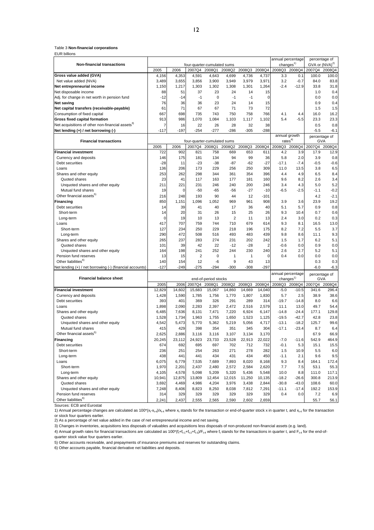#### Table 3 **Non-financial corporations**

EUR billions

|                                                              |                |             |                             |                      |                |              |                |         | annual percentage  | percentage of              |               |
|--------------------------------------------------------------|----------------|-------------|-----------------------------|----------------------|----------------|--------------|----------------|---------|--------------------|----------------------------|---------------|
| <b>Non-financial transactions</b>                            |                |             | four-quarter-cumulated sums |                      |                |              |                |         | changes $1$        | GVA or (NVA) <sup>2)</sup> |               |
|                                                              | 2005           | 2006        | 2007Q4 2008Q1               |                      | 2008Q2         | 2008Q3       | 2008Q4         |         | 2008Q3 2008Q4      | 2007Q4 2008Q4              |               |
| Gross value added (GVA)                                      | 4,156          | 4,353       | 4,591                       | 4,643                | 4,699          | 4,736        | 4,737          | 3.3     | 0.1                | 100.0                      | 100.0         |
| Net value added (NVA)                                        | 3,489          | 3,655       | 3,856                       | 3,900                | 3,949          | 3,979        | 3,971          | 3.2     | $-0.7$             | 84.0                       | 83.8          |
| Net entrepreneurial income                                   | 1,150          | 1,217       | 1,303                       | 1,302                | 1,308          | 1,301        | 1,264          | $-2.4$  | $-12.9$            | 33.8                       | 31.8          |
| Net disposable income                                        | 88             | 51          | 37                          | 23                   | 24             | 14           | 15             |         |                    | 1.0                        | 0.4           |
| Adj. for change in net worth in pension fund                 | $-12$          | $-14$       | $-1$                        | $\mathbf 0$          | $-1$           | $-1$         | 0              |         |                    | 0.0                        | 0.0           |
| Net saving                                                   | 76             | 36          | 36                          | 23                   | 24             | 14           | 15             |         |                    | 0.9                        | 0.4           |
| Net capital transfers (receivable-payable)                   | 61             | 71          | 67                          | 67                   | 71             | 73           | 72             |         |                    | 1.5                        | 1.5           |
| Consumption of fixed capital                                 | 667            | 698         | 735                         | 743                  | 750            | 758          | 766            | 4.1     | 4.4                | 16.0                       | 16.2          |
| Gross fixed capital formation                                | 913            | 986         | 1,070                       | 1,084                | 1,103          | 1,117        | 1,102          | 5.4     | $-5.5$             | 23.3                       | 23.3          |
| Net acquisitions of other non-financial assets <sup>3)</sup> | $\overline{7}$ | 16          | 22                          | 26                   | 28             | 32           | 38             |         |                    | 0.5                        | 0.8           |
| Net lending $(+)$ / net borrowing $(-)$                      | $-117$         | $-197$      | $-254$                      | $-277$               | $-286$         | $-305$       | $-288$         |         |                    | $-5.5$                     | $-6.1$        |
|                                                              |                |             |                             |                      |                |              |                |         | annual growth      |                            | percentage of |
| <b>Financial transactions</b>                                |                |             | four-quarter-cumulated sums |                      |                |              |                |         | rates <sup>4</sup> | <b>GVA</b>                 |               |
|                                                              | 2005           | 2006        | 2007Q4                      | 2008Q1               | 2008Q2         | 2008Q3       | 2008Q4         | 2008Q3  | 2008Q4             | 2007Q4                     | 2008Q4        |
| <b>Financial investment</b>                                  | 722            | 902         | 821                         | 758                  | 669            | 653          | 611            | 4.2     | 3.9                | 17.9                       | 12.9          |
| Currency and deposits                                        | 146            | 175         | 181                         | 134                  | 94             | 99           | 36             | 5.8     | 2.0                | 3.9                        | 0.8           |
| Debt securities                                              | $-28$          | 11          | $-23$                       | $-38$                | $-87$          | $-62$        | $-27$          | $-17.1$ | $-7.4$             | $-0.5$                     | $-0.6$        |
| Loans                                                        | 136            | 206         | 173                         | 229                  | 256            | 250          | 309            | 11.0    | 13.5               | 3.8                        | 6.5           |
| Shares and other equity                                      | 253            | 262         | 298                         | 344                  | 361            | 354          | 396            | 4.4     | 4.9                | 6.5                        | 8.4           |
| Quoted shares                                                | 23             | 41          | 117                         | 163                  | 177            | 181          | 160            | 9.6     | 8.2                | 2.6                        | 3.4           |
| Unquoted shares and other equity                             | 211            | 221         | 231                         | 246                  | 240            | 200          | 246            | 3.4     | 4.3                | 5.0                        | 5.2           |
| Mutual fund shares                                           | 19             | $\mathbf 0$ | $-50$                       | $-65$                | $-56$          | $-27$        | $-10$          | $-6.5$  | $-2.5$             | $-1.1$                     | $-0.2$        |
| Other financial assets <sup>5)</sup>                         | 216            | 248         | 193                         | 90                   | 44             | 12           | $-101$         |         |                    | 4.2                        | $-2.1$        |
| Financing                                                    | 850            | 1,151       | 1,096                       | 1,052                | 969            | 961          | 908            | 3.9     | 3.6                | 23.9                       | 19.2          |
| Debt securities                                              | 14             | 39          | 41                          | 40                   | 17             | 36           | 40             | 5.1     | 5.7                | 0.9                        | 0.8           |
| Short-term                                                   | 14             | 20          | 31                          | 26                   | 15             | 25           | 26             | 9.3     | 10.4               | 0.7                        | 0.6           |
| Long-term                                                    | $\mathbf 0$    | 19          | 10                          | 13                   | $\overline{2}$ | 11           | 13             | 2.4     | 3.0                | 0.2                        | 0.3           |
| Loans                                                        | 417            | 707         | 759                         | 744                  | 710            | 679          | 614            | 9.3     | 8.1                | 16.5                       | 13.0          |
| Short-term                                                   | 127            | 234         | 250                         | 229                  | 218            | 196          | 175            | 8.2     | 7.2                | 5.5                        | 3.7           |
| Long-term                                                    | 290            | 472         | 508                         | 516                  | 493            | 483          | 439            | 9.8     | 8.6                | 11.1                       | 9.3           |
| Shares and other equity                                      | 265            | 237         | 283                         | 274                  | 231            | 202          | 242            | 1.5     | 1.7                | 6.2                        | 5.1           |
| Quoted shares                                                | 101            | 39          | 42                          | 22                   | $-12$          | $-28$        | $\overline{2}$ | $-0.6$  | 0.0                | 0.9                        | 0.0           |
| Unquoted shares and other equity                             | 164            | 198         | 241                         | 252                  | 244            | 230          | 240            | 2.6     | 2.7                | 5.2                        | 5.1           |
| Pension fund reserves                                        | 13             | 15          | $\overline{2}$              | 0                    | $\mathbf{1}$   | $\mathbf{1}$ | 0              | 0.4     | 0.0                | 0.0                        | 0.0           |
| Other liabilities <sup>6)</sup>                              | 140            | 154         | 12                          | $-6$                 | 9              | 43           | 13             |         |                    | 0.3                        | 0.3           |
| Net lending (+) / net borrowing (-) (financial accounts)     | $-127$         | $-249$      | $-275$                      | $-294$               | $-300$         | $-308$       | $-297$         |         |                    | $-6.0$                     | $-6.3$        |
|                                                              |                |             |                             |                      |                |              |                |         | annual percentage  |                            | percentage of |
| <b>Financial balance sheet</b>                               |                |             |                             | end-of-period stocks |                |              |                |         | changes $1$        | GVA                        |               |
|                                                              | 2005           | 2006        | 2007Q4                      | 2008Q1               | 2008Q2         | 2008Q3       | 2008Q4         | 2008Q3  | 2008Q4             | 2007Q4                     | 2008Q4        |
| <b>Financial investment</b>                                  | 12,829         | 14,602      | 15,683                      | 15,067               | 14,860         | 14,669       | 14,040         | $-5.0$  | $-10.5$            | 341.6                      | 296.4         |
| Currency and deposits                                        | 1,428          | 1,590       | 1,785                       | 1,756                | 1,770          | 1,807        | 1,830          | 5.7     | 2.5                | 38.9                       | 38.6          |
| Debt securities                                              | 393            | 401         | 369                         | 326                  | 291            | 289          | 314            | $-19.7$ | $-14.8$            | 8.0                        | 6.6           |
| Loans                                                        | 1,898          | 2,090       | 2,283                       | 2,397                | 2,472          | 2,516        | 2,579          | 11.1    | 13.0               | 49.7                       | 54.4          |
| Shares and other equity                                      | 6,485          | 7,636       | 8,131                       | 7,471                | 7,220          | 6,924        | 6,147          | $-14.8$ | $-24.4$            | 177.1                      | 129.8         |
| Quoted shares                                                | 1,528          | 1,734       | 1,963                       | 1,755                | 1,650          | 1,523        | 1,125          | $-19.5$ | $-42.7$            | 42.8                       | 23.8          |
| Unquoted shares and other equity                             | 4,542          | 5,473       | 5,770                       | 5,362                | 5,219          | 5,056        | 4,717          | $-13.1$ | $-18.2$            | 125.7                      | 99.6          |
| Mutual fund shares                                           | 415            | 429         | 398                         | 354                  | 351            | 345          | 304            | $-17.1$ | $-23.4$            | 8.7                        | 6.4           |
| Other financial assets <sup>9)</sup>                         | 2,625          | 2,886       | 3,116                       | 3,116                | 3,107          | 3,134        | 3,170          |         |                    | 67.9                       | 66.9          |
| Financing                                                    | 20,245         | 23,112      | 24,923                      | 23,733               | 23,528         | 22,913       | 22,022         | $-7.0$  | -11.6              | 542.9                      | 464.9         |
| Debt securities                                              | 674            | 692         | 695                         | 697                  | 702            | 712          | 732            | $-0.1$  | 5.3                | 15.1                       | 15.5          |
| Short-term                                                   | 236            | 251         | 254                         | 263                  | 271            | 278          | 282            | 1.5     | 10.9               | 5.5                        | 6.0           |
| Long-term                                                    | 438            | 441         | 441                         | 434                  | 431            | 434          | 450            | $-1.1$  | 2.1                | 9.6                        | 9.5           |
| Loans                                                        | 6,075          | 6,779       | 7,535                       | 7,689                | 7,893          | 8,020        | 8,168          | 9.3     | 8.4                | 164.1                      | 172.4         |
| Short-term                                                   | 1,970          | 2,201       | 2,437                       | 2,480                | 2,572          | 2,584        | 2,620          | 7.7     | 7.5                | 53.1                       | 55.3          |
| Long-term                                                    | 4,105          | 4,578       | 5,098                       | 5,209                | 5,320          | 5,436        | 5,548          | 10.0    | 8.8                | 111.0                      | 117.1         |
| Shares and other equity                                      | 10,941         | 12,875      | 13,809                      | 12,454               | 12,015         | 11,250       | 10,135         | $-18.2$ | $-26.6$            | 300.8                      | 213.9         |
| Quoted shares                                                | 3,692          | 4,469       | 4,986                       | 4,204                | 3,976          | 3,438        | 2,844          | $-30.8$ | $-43.0$            | 108.6                      | 60.0          |
| Unquoted shares and other equity                             | 7,248          | 8,406       | 8,823                       | 8,250                | 8,038          | 7,812        | 7,291          | $-11.1$ | $-17.4$            | 192.2                      | 153.9         |
| Pension fund reserves                                        | 314            | 329         | 329                         | 329                  | 329            | 329          | 329            | 0.4     | 0.0                | 7.2                        | 6.9           |
| Other liabilities <sup>6)</sup>                              | 2,241          | 2,437       | 2,555                       | 2,565                | 2,590          | 2,602        | 2,659          |         |                    | 55.7                       | 56.1          |

Sources: ECB and Eurostat

1) Annual percentage changes are calculated as 100\*( $x_t-x_{t-4}$ )/ $x_{t-4}$  where  $x_t$  stands for the transaction or end-of-quarter stock x in quarter t, and  $x_{t-4}$  for the transaction or stock four quarters earlier.

2) As a percentage of net value added in the case of net entrepreneurial income and net saving.

3) Changes in inventories, acquisitions less disposals of valuables and acquisitions less disposals of non-produced non-financial assets (e.g. land).

4) Annual growth rates for financial transactions are calculated as 100\*( $t_1+t_1$ , $+t_1$ , $t_2$ , $t_1$ , $s_3$ )/ $F_{t-4}$  where  $t_1$  stands for the transactions in quarter t, and  $F_{t-4}$  for the end-ofquarter stock value four quarters earlier.

5) Other accounts receivable, and prepayments of insurance premiums and reserves for outstanding claims.

6) Other accounts payable, financial derivative net liabilities and deposits.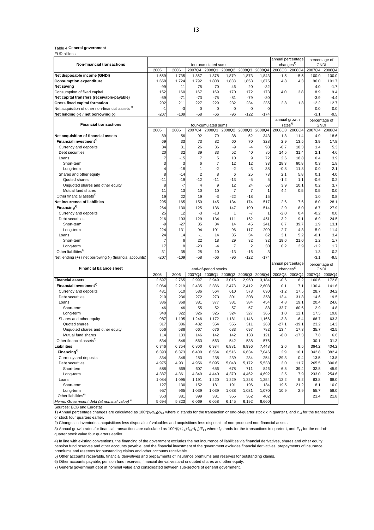#### Table 4 **General government**

EUR billions

|                                                             |                |              |                |                                |                      |                       | annual percentage | percentage of |                       |                                 |               |  |
|-------------------------------------------------------------|----------------|--------------|----------------|--------------------------------|----------------------|-----------------------|-------------------|---------------|-----------------------|---------------------------------|---------------|--|
| Non-financial transactions                                  |                |              |                | four-cumulated sums            |                      |                       |                   |               | changes <sup>1</sup>  | <b>GNDI</b>                     |               |  |
|                                                             | 2005           | 2006         | 2007Q4         | 2008Q1                         | 2008Q2               | 2008Q3                | 2008Q4            | 2008Q3        | 2008Q4                | 2007Q4                          | 2008Q4        |  |
| Net disposable income (GNDI)                                | 1,559          | 1,735        | 1,867          | 1,878                          | 1,879                | 1,873                 | 1,843             | $-1.5$        | $-5.5$                | 100.0                           | 100.0         |  |
| <b>Consumption expenditure</b>                              | 1,658          | 1,724        | 1,792          | 1,808                          | 1,833                | 1,853                 | 1,875             | 4.8           | 4.3                   | 96.0                            | 101.7         |  |
| <b>Net saving</b>                                           | $-99$          | 11           | 75             | 70                             | 46                   | 20                    | $-32$             |               |                       | 4.0                             | $-1.7$        |  |
| Consumption of fixed capital                                | 152            | 160          | 167            | 169                            | 170                  | 172                   | 173               | 4.0           | 3.8                   | 8.9                             | 9.4           |  |
| Net capital transfers (receivable-payable)                  | $-59$          | $-71$        | $-73$          | $-75$                          | $-81$                | $-79$                 | $-80$             |               |                       | $-3.9$                          | $-4.4$        |  |
| Gross fixed capital formation                               | 202            | 211          | 227            | 229                            | 232                  | 234                   | 235               | 2.8           | 1.8                   | 12.2                            | 12.7          |  |
| Net acquisition of other non-financial assets <sup>27</sup> | $-1$<br>$-207$ | -3<br>$-109$ | 0              | $\mathbf 0$                    | $\mathbf 0$<br>$-96$ | $\mathbf 0$<br>$-122$ | 0                 |               |                       | 0.0                             | 0.0           |  |
| Net lending (+) / net borrowing (-)                         |                |              | $-58$          | -66                            |                      |                       | $-174$            |               | annual growth         | $-3.1$                          | $-9.5$        |  |
| <b>Financial transactions</b>                               |                |              |                | four-cumulated sums            |                      |                       |                   |               | rates <sup>3</sup>    | <b>GNDI</b>                     | percentage of |  |
|                                                             | 2005           | 2006         | 2007Q4         | 2008Q1                         | 2008Q2               | 2008Q3                | 2008Q4            | 2008Q3        | 2008Q4                | 2007Q4                          | 2008Q4        |  |
| Net acquisition of financial assets                         | 89             | 56           | 92             | 79                             | 38                   | 52                    | 343               | 1.8           | 11.4                  | 4.9                             | 18.6          |  |
| Financial investment <sup>4)</sup>                          | 69             | 33           | 73             | 82                             | 60                   | 70                    | 328               | 2.9           | 13.5                  | 3.9                             | 17.8          |  |
| Currency and deposits                                       | 34             | 31           | 26             | 36                             | -9                   | $-4$                  | 98                | $-0.7$        | 18.3                  | 1.4                             | 5.3           |  |
| Debt securities                                             | 20             | 32           | 39             | 33                             | 52                   | 40                    | 85                | 14.5          | 31.4                  | 2.1                             | 4.6           |  |
| Loans                                                       | $\overline{7}$ | $-15$        | $\overline{7}$ | 5                              | 10                   | 9                     | 72                | 2.6           | 18.8                  | 0.4                             | 3.9           |  |
| Short-term                                                  | 3              | 3            | 6              | $\overline{7}$                 | 12                   | 12                    | 33                | 28.3          | 60.8                  | 0.3                             | 1.8           |  |
| Long-term                                                   | 4              | $-18$        | 1              | $-2$                           | $-2$                 | $-3$                  | 38                | $-0.8$        | 11.8                  | 0.0                             | 2.1           |  |
| Shares and other equity                                     | 8              | $-14$        | $\overline{2}$ | 8                              | 6                    | 25                    | 73                | 2.1           | 5.8                   | 0.1                             | 4.0           |  |
| Quoted shares                                               | $-11$          | $-19$        | $-12$          | $-11$                          | $-13$                | $-5$                  | 5                 | $-1.2$        | 1.1                   | $-0.6$                          | 0.2           |  |
| Unquoted shares and other equity                            | 8              | $-7$         | 4              | 9                              | 12                   | 24                    | 68                | 3.9           | 10.1                  | 0.2                             | 3.7           |  |
| Mutual fund shares                                          | 11             | 13           | 10             | 10                             | $\overline{7}$       | $\overline{7}$        | 1                 | 4.4           | 0.5                   | 0.5                             | 0.0           |  |
| Other financial assets <sup>5)</sup>                        | 19             | 22           | 19             | -3                             | $-22$                | $-18$                 | 15                |               |                       | 1.0                             | 0.8           |  |
| Net incurrence of liabilities                               | 295            | 165          | 150            | 145                            | 134                  | 174                   | 517               | 2.6           | 7.6                   | 8.0                             | 28.1          |  |
| Financing <sup>4)</sup>                                     | 264            | 130          | 125            | 136                            | 147                  | 190                   | 514               | 2.9           | 8.0                   | 6.7                             | 27.9          |  |
| Currency and deposits                                       | 25             | 12           | $-3$           | $-13$                          | $\mathbf{1}$         | $-7$                  | 1                 | $-2.0$        | 0.4                   | $-0.2$                          | 0.0           |  |
| Debt securities                                             | 216            | 103          | 129            | 134                            | 111                  | 162                   | 451               | 3.2           | 9.1                   | 6.9                             | 24.5          |  |
| Short-term                                                  | -9             | $-27$        | 35             | 34                             | 14                   | 45                    | 241               | 6.7           | 39.7                  | 1.9                             | 13.1          |  |
| Long-term                                                   | 224            | 131          | 94             | 101                            | 96                   | 117                   | 209               | 2.7           | 4.8                   | 5.0                             | 11.4          |  |
| Loans                                                       | 24             | 14           | $-1$           | 14                             | 35                   | 34                    | 62                | 3.1           | 5.2                   | $-0.1$                          | 3.4           |  |
| Short-term                                                  | $\overline{7}$ | 6            | 22             | 18                             | 29                   | 32                    | 32                | 19.6          | 21.0                  | 1.2                             | 1.7           |  |
| Long-term                                                   | 17             | 8            | $-23$          | $-4$                           | $\overline{7}$       | $\overline{2}$        | 30                | 0.2           | 2.9                   | $-1.2$                          | 1.7           |  |
| Other liabilities <sup>6)</sup>                             | 31             | 35           | 25             | 10                             | $-13$                | $-16$                 | 3                 |               |                       | 1.3                             | 0.2           |  |
| Net lending (+) / net borrowing (-) (financial accounts)    | $-207$         | $-109$       | $-58$          | -66                            | $-96$                | $-122$                | $-174$            |               |                       | $-3.1$                          | $-9.5$        |  |
| <b>Financial balance sheet</b>                              |                |              |                |                                |                      |                       |                   |               | annual percentage     | percentage of                   |               |  |
|                                                             | 2005           | 2006         | 2007Q4         | end-of-period stocks<br>2008Q1 | 2008Q2               | 2008Q3                | 2008Q4            | 2008Q3        | changes $1$<br>2008Q4 | <b>GNDI</b><br>2007Q4<br>2008Q4 |               |  |
| <b>Financial assets</b>                                     | 2,597          | 2,765        | 2,997          | 2,949                          | 3,015                | 2,950                 | 3,184             | $-0.6$        | 6.2                   | 160.6                           | 172.8         |  |
| Financial investment <sup>4)</sup>                          | 2,064          | 2,219        | 2,435          | 2,386                          | 2,473                | 2,412                 | 2,608             | 0.1           | 7.1                   | 130.4                           | 141.6         |  |
| Currency and deposits                                       | 481            | 510          | 536            | 564                            | 610                  | 573                   | 630               | $-1.2$        | 17.5                  | 28.7                            | 34.2          |  |
| Debt securities                                             | 210            | 236          | 272            | 273                            | 301                  | 308                   | 358               | 13.4          | 31.8                  | 14.6                            | 19.5          |  |
| Loans                                                       | 386            | 368          | 381            | 377                            | 381                  | 384                   | 454               | 4.8           | 19.1                  | 20.4                            | 24.6          |  |
| Short-term                                                  | 46             | 46           | 55             | 52                             | 57                   | 57                    | 88                | 33.7          | 60.6                  | 2.9                             | 4.8           |  |
| Long-term                                                   | 340            | 322          | 326            | 325                            | 324                  | 327                   | 366               | 1.0           | 12.1                  | 17.5                            | 19.8          |  |
| Shares and other equity                                     | 987            | 1,105        | 1,246          | 1,172                          | 1,181                | 1,146                 | 1,166             | $-3.8$        | $-6.4$                | 66.7                            | 63.3          |  |
| Quoted shares                                               | 317            | 386          | 432            | 354                            | 356                  | 311                   | 263               | $-27.1$       | $-39.1$               | 23.2                            | 14.3          |  |
| Unquoted shares and other equity                            | 556            | 586          | 667            | 676                            | 683                  | 697                   | 782               | 13.4          | 17.3                  | 35.7                            | 42.5          |  |
| Mutual fund shares                                          | 114            | 133          | 146            | 142                            | 142                  | 138                   | 121               | $-8.0$        | $-17.3$               | 7.8                             | 6.6           |  |
| Other financial assets <sup>37</sup>                        | 534            | 546          | 563            | 563                            | 542                  | 538                   | 576               |               |                       | 30.1                            | 31.3          |  |
| Liabilities                                                 | 6,746          | 6,754        | 6,800          | 6,934                          | 6,881                | 6,996                 | 7,448             | 2.6           | 9.5                   | 364.2                           | 404.2         |  |
| Financing <sup>4)</sup>                                     | 6,393          | 6,373        | 6,400          | 6,554                          | 6,516                | 6,634                 | 7,046             | 2.9           | 10.1                  | 342.8                           | 382.4         |  |
| Currency and deposits                                       | 334            | 346          | 253            | 238                            | 239                  | 234                   | 254               | $-29.3$       | 0.4                   | 13.5                            | 13.8          |  |
| Debt securities                                             | 4,975          | 4,931        | 4,956          | 5,095                          | 5,048                | 5,172                 | 5,538             | 3.0           | 11.7                  | 265.5                           | 300.6         |  |
| Short-term                                                  | 588            | 569          | 607            | 656                            | 678                  | 711                   | 846               | 6.5           | 39.4                  | 32.5                            | 45.9          |  |
| Long-term                                                   | 4,387          | 4,361        | 4,349          | 4,440                          | 4,370                | 4,462                 | 4,692             | 2.5           | 7.9                   | 233.0                           | 254.6         |  |
| Loans                                                       | 1,084          | 1,095        | 1,191          | 1,220                          | 1,229                | 1,228                 | 1,254             | 12.2          | 5.2                   | 63.8                            | 68.0          |  |
| Short-term                                                  | 127            | 130          | 152            | 181                            | 191                  | 196                   | 184               | 19.5          | 21.2                  | 8.1                             | 10.0          |  |
| Long-term                                                   | 957            | 965          | 1,039          | 1,039                          | 1,038                | 1,031                 | 1,070             | 10.9          | 2.9                   | 55.7                            | 58.0          |  |
| Other liabilities <sup>6)</sup>                             | 353            | 381          | 399            | 381                            | 365                  | 362                   | 402               |               |                       | 21.4                            | 21.8          |  |
| Memo: Government debt (at nominal value) <sup>7)</sup>      | 5,694          | 5,823        | 6,069          | 6,058                          | 6,145                | 6,192                 | 6,660             |               |                       |                                 |               |  |

Sources: ECB and Eurostat<br>1) Annual percentage changes are calculated as 100\*(x<sub>t</sub>-x<sub>t-4</sub>)/x<sub>t-4</sub> where x<sub>t</sub> stands for the transaction or end-of-quarter stock x in quarter t, and x<sub>t-4</sub> for the transaction or stock four quarters earlier.

2) Changes in inventories, acquisitions less disposals of valuables and acquisitions less disposals of non-produced non-financial assets.

3) Annual growth rates for financial transactions are calculated as 100\*( $f_t + f_{t-1} + f_{t-2} + f_{t-3}$ )/ $F_{t-4}$  where  $f_t$  stands for the transactions in quarter t, and  $F_{t-4}$  for the end-ofquarter stock value four quarters earlier.

4) In line with existing conventions, the financing of the government excludes the net incurrence of liabilities via financial derivatives, shares and other equity, pension fund reserves and other accounts payable, and the financial investment of the government excludes financial derivatives, prepayments of insurance<br>premiums and reserves for outstanding claims and other accounts rece

5) Other accounts receivable, financial derivatives and prepayments of insurance premiums and reserves for outstanding claims.

6) Other accounts payable, pension fund reserves, financial derivatives and unquoted shares and other equity.

7) General government debt at nominal value and consolidated between sub-sectors of general government.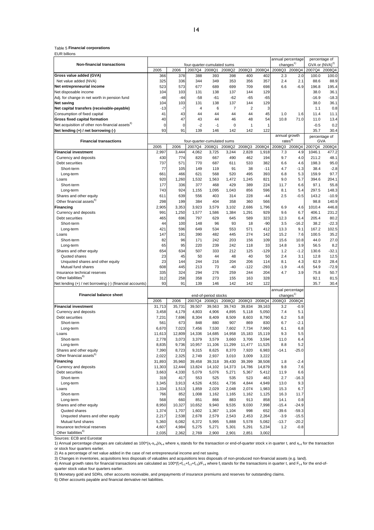#### Table 5 **Financial corporations**

EUR billions

|                                                                 |             |                                                                    |                             |              |                |                |        | annual percentage     |         | percentage of              |         |
|-----------------------------------------------------------------|-------------|--------------------------------------------------------------------|-----------------------------|--------------|----------------|----------------|--------|-----------------------|---------|----------------------------|---------|
| <b>Non-financial transactions</b>                               |             |                                                                    | four-quarter-cumulated sums |              |                |                |        | changes <sup>1)</sup> |         | GVA or (NVA) <sup>2)</sup> |         |
|                                                                 | 2005        | 2006                                                               | 2007Q4                      | 2008Q1       | 2008Q2         | 2008Q3         | 2008Q4 | 2008Q3 2008Q4         |         | 2007Q4 2008Q4              |         |
| Gross value added (GVA)                                         | 366         | 378                                                                | 388                         | 393          | 398            | 400            | 402    | 2.3                   | 2.0     | 100.0                      | 100.0   |
| Net value added (NVA)                                           | 325         | 336                                                                | 344                         | 349          | 353            | 356            | 357    | 2.4                   | 2.1     | 88.6                       | 88.9    |
| Net entrepreneurial income                                      | 523         | 573                                                                | 677                         | 689          | 699            | 709            | 698    | 6.6                   | $-6.9$  | 196.8                      | 195.4   |
| Net disposable income                                           | 104         | 103                                                                | 131                         | 138          | 137            | 144            | 129    |                       |         | 38.0                       | 36.1    |
| Adj. for change in net worth in pension fund                    | $-48$       | $-44$                                                              | $-58$                       | $-61$        | $-62$          | $-65$          | $-65$  |                       |         | $-16.9$                    | $-18.3$ |
| <b>Net saving</b>                                               | 104         | 103                                                                | 131                         | 138          | 137            | 144            | 129    |                       |         | 38.0                       | 36.1    |
| Net capital transfers (receivable-payable)                      | $-13$       | $-7$                                                               | 4                           | 6            | $\overline{7}$ | $\overline{2}$ | 3      |                       |         | 1.1                        | 0.8     |
| Consumption of fixed capital                                    | 41          | 43                                                                 | 44                          | 44           | 44             | 44             | 45     | 1.0                   | 1.6     | 11.4                       | 11.1    |
| Gross fixed capital formation                                   | 40          | 47                                                                 | 43                          | 44           | 46             | 48             | 54     | 10.8                  | 71.0    | 11.0                       | 13.4    |
| Net acquisition of other non-financial assets <sup>3)</sup>     | $\mathbf 0$ | $\overline{0}$                                                     | $-2$                        | $-1$         | $\mathbf 0$    | $\mathbf{1}$   | 1      |                       |         | $-0.5$                     | 0.2     |
| Net lending (+) / net borrowing (-)                             | 93          | 91                                                                 | 139                         | 146          | 142            | 142            | 122    |                       |         | 35.7                       | 30.4    |
|                                                                 |             |                                                                    |                             |              |                |                |        | annual growth         |         | percentage of              |         |
| <b>Financial transactions</b>                                   |             |                                                                    | four-quarter-cumulated sums |              |                |                |        | rates <sup>4</sup>    |         | GVA                        |         |
|                                                                 | 2005        | 2006                                                               | 2007Q4                      | 2008Q1       | 2008Q2         | 2008Q3         | 2008Q4 | 2008Q3                | 2008Q4  | 2007Q4                     | 2008Q4  |
| <b>Financial investment</b>                                     | 2,997       | 3,444                                                              | 4,062                       | 3,725        | 3,244          | 2,828          | 1,918  | 7.3                   | 4.9     | 1046.1                     | 477.2   |
| Currency and deposits                                           | 430         | 774                                                                | 820                         | 667          | 490            | 462            | 194    | 9.7                   | 4.0     | 211.2                      | 48.1    |
| Debt securities                                                 | 737         | 571                                                                | 770                         | 687          | 611            | 533            | 382    | 6.6                   | 4.6     | 198.3                      | 95.0    |
| Short-term                                                      | 77          | 105                                                                | 149                         | 119          | 91             | 38             | $-11$  | 4.7                   | $-1.3$  | 38.4                       | $-2.8$  |
| Long-term                                                       | 661         | 466                                                                | 621                         | 568          | 520            | 495            | 393    | 6.8                   | 5.3     | 159.9                      | 97.7    |
| Loans                                                           | 920         | 1,260                                                              | 1,532                       | 1,563        | 1,472          | 1,245          | 821    | 9.0                   | 5.7     | 394.6                      | 204.1   |
| Short-term                                                      | 177         | 336                                                                | 377                         | 468          | 429            | 389            | 224    | 11.7                  | 6.6     | 97.1                       | 55.8    |
| Long-term                                                       | 743         | 924                                                                | 1,155                       | 1,095        | 1,043          | 856            | 596    | 8.1                   | 5.4     | 297.5                      | 148.3   |
| Shares and other equity                                         | 611         | 639                                                                | 556                         | 403          | 314            | 228            | -44    | 2.5                   | $-0.5$  | 143.2                      | $-10.9$ |
| Other financial assets <sup>5)</sup>                            | 298         | 199                                                                | 384                         | 404          | 358            | 360            | 566    |                       |         | 98.8                       | 140.9   |
| Financing                                                       | 2,905       | 3,353                                                              | 3,923                       | 3,579        | 3,102          | 2,686          | 1,796  | 6.9                   | 4.6     | 1010.4                     | 446.8   |
| Currency and deposits                                           | 991         | 1,250                                                              | 1,577                       | 1,586        | 1,384          | 1,291          | 929    | 9.6                   | 6.7     | 406.1                      | 231.2   |
| Debt securities                                                 | 465         | 696                                                                | 797                         | 629          | 645            | 589            | 323    | 12.3                  | 6.4     | 205.4                      | 80.2    |
| Short-term                                                      | 44          | 100                                                                | 148                         | 96           | 93             | 18             | $-90$  | 3.5                   | -16.2   | 38.2                       | $-22.3$ |
| Long-term                                                       | 421         | 596                                                                | 649                         | 534          | 553            | 571            | 412    | 13.3                  | 9.1     | 167.2                      | 102.5   |
| Loans                                                           | 147         | 191                                                                | 390                         | 482          | 445            | 274            | 142    | 15.2                  | 7.6     | 100.5                      | 35.2    |
| Short-term                                                      | 82          | 96                                                                 | 171                         | 242          | 203            | 156            | 109    | 15.6                  | 10.8    | 44.0                       | 27.0    |
| Long-term                                                       | 65          | 95                                                                 | 220                         | 239          | 242            | 118            | 33     | 14.8                  | 3.9     | 56.5                       | 8.2     |
| Shares and other equity                                         | 654         | 634                                                                | 507                         | 333          | 212            | 125            | $-129$ | 1.2                   | $-1.2$  | 130.6                      | $-32.1$ |
| Quoted shares                                                   | 23          | 45                                                                 | 50                          | 44           | 48             | 40             | 50     | 2.4                   | 3.1     | 12.8                       | 12.5    |
| Unquoted shares and other equity                                | 23          | 144                                                                | 244                         | 216          | 204            | 206            | 114    | 8.1                   | 4.3     | 62.9                       | 28.4    |
| Mutual fund shares                                              | 608         | 445                                                                | 213                         | 73           | $-40$          | $-122$         | $-293$ | $-1.9$                | $-4.6$  | 54.9                       | $-72.9$ |
| Insurance technical reserves                                    | 335         | 324                                                                | 294                         | 276          | 259            | 244            | 204    | 4.7                   | 3.9     | 75.8                       | 50.7    |
| Other liabilities <sup>6)</sup>                                 | 312         | 258                                                                | 358                         | 273          | 155            | 163            | 328    |                       |         | 92.1                       | 81.5    |
| Vet lending (+) / net borrowing (-) (financial accounts)        | 93          | 91                                                                 | 139                         | 146          | 142            | 142            | 122    |                       |         | 35.7                       | 30.4    |
|                                                                 |             |                                                                    |                             |              |                |                |        |                       |         |                            |         |
| <b>Financial balance sheet</b>                                  |             | annual percentage<br>changes <sup>1)</sup><br>end-of-period stocks |                             |              |                |                |        |                       |         |                            |         |
|                                                                 | 2005        | 2006                                                               | 2007Q4                      | 2008Q1       | 2008Q2         | 2008Q3         | 2008Q4 | 2008Q3                | 2008Q4  |                            |         |
| <b>Financial investment</b>                                     | 31,713      | 35,731                                                             | 39,507                      | 39,563       | 39,743         | 39,834         | 39,163 | 3.2                   | $-0.9$  |                            |         |
| Currency and deposits                                           | 3,458       | 4,179                                                              | 4,803                       | 4,906        | 4,895          | 5,118          | 5,050  | 7.4                   | 5.1     |                            |         |
| Debt securities                                                 | 7,231       | 7,696                                                              | 8,304                       | 8,409        | 8,509          | 8,603          | 8,790  | 6.2                   | 5.8     |                            |         |
| Short-term                                                      | 561         | 673                                                                | 848                         | 880          | 907            | 869            | 830    | 6.7                   | $-2.1$  |                            |         |
| Long-term                                                       | 6,670       | 7,023                                                              | 7,456                       | 7,530        | 7,602          | 7,734          | 7,960  | 6.1                   | 6.8     |                            |         |
| Loans                                                           | 11,613      | 12,809                                                             | 14,336                      | 14,685       | 14,958         | 15,183         | 15,119 | 9.3                   | 5.5     |                            |         |
| Short-term                                                      | 2,778       | 3,073                                                              | 3,379                       | 3,579        | 3,660          | 3,706          | 3,594  | 11.0                  | 6.4     |                            |         |
| Long-term                                                       | 8,835       | 9,736                                                              | 10,957                      | 11,106       | 11,299         | 11,477         | 11,525 | 8.8                   | 5.2     |                            |         |
| Shares and other equity                                         | 7,390       | 8,723                                                              | 9,315                       | 8,625        | 8,370          | 7,920          | 6,983  | $-14.1$               | $-25.0$ |                            |         |
| Other financial assets <sup>5)</sup>                            | 2,022       | 2,325                                                              | 2,749                       | 2,937        | 3,010          | 3,009          | 3,222  |                       |         |                            |         |
| Financing                                                       | 31,893      | 35,960                                                             | 39,458                      | 39,318       | 39,430         | 39,399         | 38,508 | 1.8                   | $-2.4$  |                            |         |
| Currency and deposits                                           | 11,303      | 12,444                                                             | 13,824                      | 14,102       | 14,373         | 14,786         | 14,879 | 9.8                   | 7.6     |                            |         |
| Debt securities                                                 | 3,663       | 4,330                                                              | 5,079                       | 5,076        | 5,271          | 5,367          | 5,412  | 11.9                  | 6.6     |                            |         |
| Short-term                                                      | 319         | 417                                                                | 553                         | 525          | 535            | 523            | 463    | 2.7                   | $-16.3$ |                            |         |
| Long-term                                                       | 3,345       | 3,913                                                              | 4,526                       | 4,551        | 4,736          | 4,844          | 4,949  | 13.0                  | 9.3     |                            |         |
|                                                                 | 1,334       | 1,513                                                              | 1,859                       | 2,029        |                |                | 1,983  | 15.3                  | 6.7     |                            |         |
| Loans<br>Short-term                                             | 766         | 852                                                                | 1,008                       |              | 2,048          | 2,074          | 1,125  | 16.3                  | 11.7    |                            |         |
|                                                                 | 568         | 660                                                                | 851                         | 1,162<br>866 | 1,165<br>883   | 1,162<br>913   | 858    | 14.1                  | 0.8     |                            |         |
| Long-term<br>Shares and other equity                            | 8,950       |                                                                    | 10,652                      | 9,940        |                | 9,030          | 7,998  | $-15.4$               | $-24.9$ |                            |         |
| Quoted shares                                                   | 1,374       | 10,327<br>1,707                                                    | 1,602                       |              | 9,535          | 998            | 652    | $-39.6$               | $-59.3$ |                            |         |
|                                                                 |             |                                                                    |                             | 1,367        | 1,104          |                |        |                       |         |                            |         |
| Unquoted shares and other equity                                | 2,217       | 2,538                                                              | 2,678                       | 2,579        | 2,543          | 2,453          | 2,264  | $-3.9$                | $-15.5$ |                            |         |
| Mutual fund shares                                              | 5,360       | 6,082                                                              | 6,372                       | 5,995        | 5,888          | 5,578          | 5,082  | $-13.7$               | $-20.2$ |                            |         |
| Insurance technical reserves<br>Other liabilities <sup>6)</sup> | 4,607       | 4,984                                                              | 5,275                       | 5,271        | 5,301          | 5,291          | 5,234  | 1.2                   | $-0.8$  |                            |         |
|                                                                 | 2,035       | 2,362                                                              | 2,769                       | 2,900        | 2,901          | 2,851          | 3,002  |                       |         |                            |         |

Sources: ECB and Eurostat

1) Annual percentage changes are calculated as 100\*(x<sub>t-Xt-4</sub>)/x<sub>t-4</sub> where x<sub>t</sub> stands for the transaction or end-of-quarter stock x in quarter t, and x<sub>t-4</sub> for the transaction

or stock four quarters earlier.<br>2) As a percentage of net value added in the case of net entrepreneurial income and net saving.

3) Changes in inventories, acquisitions less disposals of valuables and acquisitions less disposals of non-produced non-financial assets (e.g. land).<br>4) Annual growth rates for financial transactions are calculated as 100\* quarter stock value four quarters earlier.

5) Monetary gold and SDRs, other accounts receivable, and prepayments of insurance premiums and reserves for outstanding claims.

6) Other accounts payable and financial derivative net liabilities.